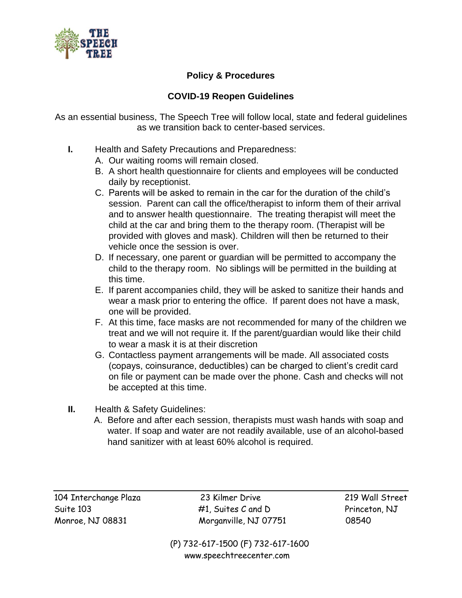

## **Policy & Procedures**

## **COVID-19 Reopen Guidelines**

As an essential business, The Speech Tree will follow local, state and federal guidelines as we transition back to center-based services.

- **I.** Health and Safety Precautions and Preparedness:
	- A. Our waiting rooms will remain closed.
	- B. A short health questionnaire for clients and employees will be conducted daily by receptionist.
	- C. Parents will be asked to remain in the car for the duration of the child's session. Parent can call the office/therapist to inform them of their arrival and to answer health questionnaire. The treating therapist will meet the child at the car and bring them to the therapy room. (Therapist will be provided with gloves and mask). Children will then be returned to their vehicle once the session is over.
	- D. If necessary, one parent or guardian will be permitted to accompany the child to the therapy room. No siblings will be permitted in the building at this time.
	- E. If parent accompanies child, they will be asked to sanitize their hands and wear a mask prior to entering the office. If parent does not have a mask, one will be provided.
	- F. At this time, face masks are not recommended for many of the children we treat and we will not require it. If the parent/guardian would like their child to wear a mask it is at their discretion
	- G. Contactless payment arrangements will be made. All associated costs (copays, coinsurance, deductibles) can be charged to client's credit card on file or payment can be made over the phone. Cash and checks will not be accepted at this time.
- **II.** Health & Safety Guidelines:
	- A. Before and after each session, therapists must wash hands with soap and water. If soap and water are not readily available, use of an alcohol-based hand sanitizer with at least 60% alcohol is required.

104 Interchange Plaza 23 Kilmer Drive 219 Wall Street Suite 103 **#1, Suites C and D** Princeton, NJ Monroe, NJ 08831 Morganville, NJ 07751 08540

 (P) 732-617-1500 (F) 732-617-1600 [www.speechtreecenter.com](http://www.speechtreecenter.com/)